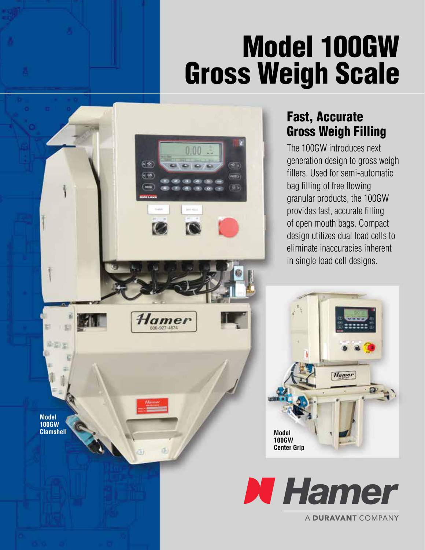# Model 100GW Gross Weigh Scale

 $1.900$ 

63

# Fast, Accurate Gross Weigh Filling

The 100GW introduces next generation design to gross weigh fillers. Used for semi-automatic bag filling of free flowing granular products, the 100GW provides fast, accurate filling of open mouth bags. Compact design utilizes dual load cells to eliminate inaccuracies inherent in single load cell designs.





A DURAVANT COMPANY

**Model 100GW**